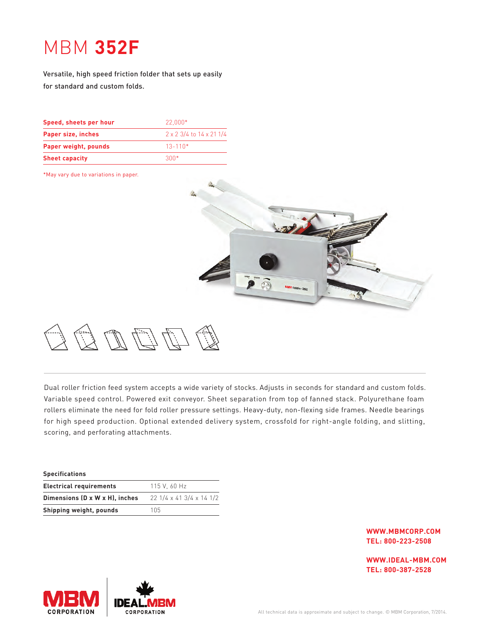## MBM **352F**

Versatile, high speed friction folder that sets up easily for standard and custom folds.

| Speed, sheets per hour | $22.000*$                |
|------------------------|--------------------------|
| Paper size, inches     | 2 x 2 3/4 to 14 x 21 1/4 |
| Paper weight, pounds   | $13 - 110*$              |
| <b>Sheet capacity</b>  | $300*$                   |

\*May vary due to variations in paper.



Dual roller friction feed system accepts a wide variety of stocks. Adjusts in seconds for standard and custom folds. Variable speed control. Powered exit conveyor. Sheet separation from top of fanned stack. Polyurethane foam rollers eliminate the need for fold roller pressure settings. Heavy-duty, non-flexing side frames. Needle bearings for high speed production. Optional extended delivery system, crossfold for right-angle folding, and slitting, scoring, and perforating attachments.

| 115 V. 60 Hz             |
|--------------------------|
| 22 1/4 x 41 3/4 x 14 1/2 |
| 105                      |
|                          |

**WWW.MBMCORP.COM TEL: 800-223-2508**

**WWW.IDEAL-MBM.COM TEL: 800-387-2528**